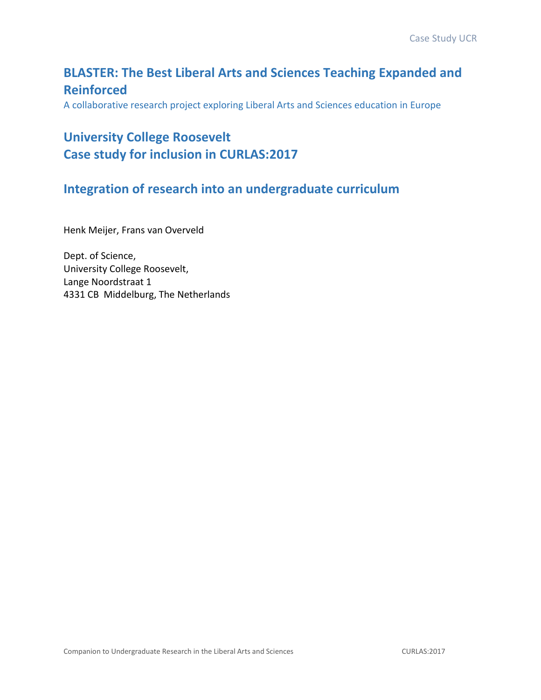## **BLASTER: The Best Liberal Arts and Sciences Teaching Expanded and Reinforced**

A collaborative research project exploring Liberal Arts and Sciences education in Europe

# **University College Roosevelt Case study for inclusion in CURLAS:2017**

### **Integration of research into an undergraduate curriculum**

Henk Meijer, Frans van Overveld

Dept. of Science, University College Roosevelt, Lange Noordstraat 1 4331 CB Middelburg, The Netherlands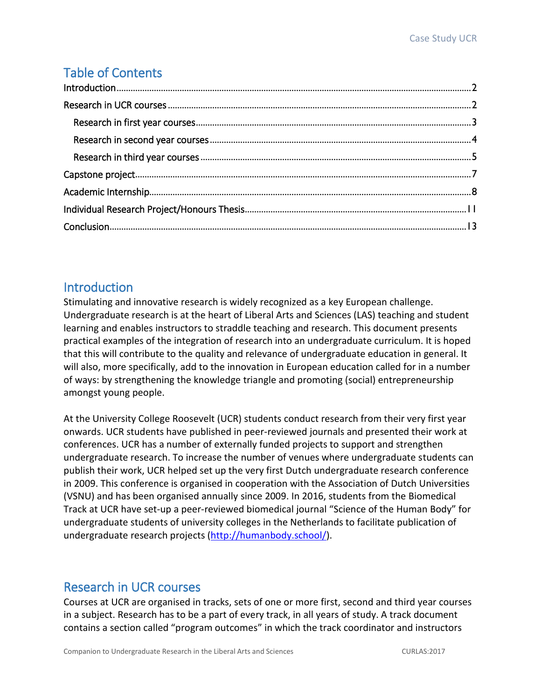# Table of Contents

### **Introduction**

Stimulating and innovative research is widely recognized as a key European challenge. Undergraduate research is at the heart of Liberal Arts and Sciences (LAS) teaching and student learning and enables instructors to straddle teaching and research. This document presents practical examples of the integration of research into an undergraduate curriculum. It is hoped that this will contribute to the quality and relevance of undergraduate education in general. It will also, more specifically, add to the innovation in European education called for in a number of ways: by strengthening the knowledge triangle and promoting (social) entrepreneurship amongst young people.

At the University College Roosevelt (UCR) students conduct research from their very first year onwards. UCR students have published in peer-reviewed journals and presented their work at conferences. UCR has a number of externally funded projects to support and strengthen undergraduate research. To increase the number of venues where undergraduate students can publish their work, UCR helped set up the very first Dutch undergraduate research conference in 2009. This conference is organised in cooperation with the Association of Dutch Universities (VSNU) and has been organised annually since 2009. In 2016, students from the Biomedical Track at UCR have set-up a peer-reviewed biomedical journal "Science of the Human Body" for undergraduate students of university colleges in the Netherlands to facilitate publication of undergraduate research projects [\(http://humanbody.school/\)](http://humanbody.school/).

### Research in UCR courses

Courses at UCR are organised in tracks, sets of one or more first, second and third year courses in a subject. Research has to be a part of every track, in all years of study. A track document contains a section called "program outcomes" in which the track coordinator and instructors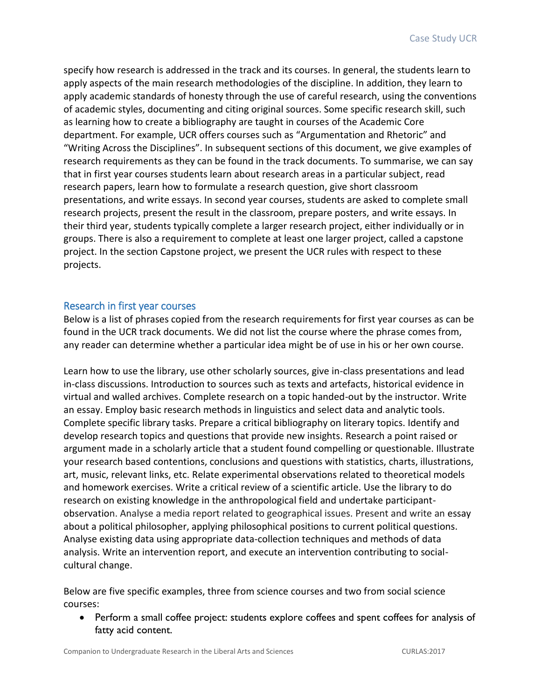specify how research is addressed in the track and its courses. In general, the students learn to apply aspects of the main research methodologies of the discipline. In addition, they learn to apply academic standards of honesty through the use of careful research, using the conventions of academic styles, documenting and citing original sources. Some specific research skill, such as learning how to create a bibliography are taught in courses of the Academic Core department. For example, UCR offers courses such as "Argumentation and Rhetoric" and "Writing Across the Disciplines". In subsequent sections of this document, we give examples of research requirements as they can be found in the track documents. To summarise, we can say that in first year courses students learn about research areas in a particular subject, read research papers, learn how to formulate a research question, give short classroom presentations, and write essays. In second year courses, students are asked to complete small research projects, present the result in the classroom, prepare posters, and write essays. In their third year, students typically complete a larger research project, either individually or in groups. There is also a requirement to complete at least one larger project, called a capstone project. In the section Capstone project, we present the UCR rules with respect to these projects.

#### Research in first year courses

Below is a list of phrases copied from the research requirements for first year courses as can be found in the UCR track documents. We did not list the course where the phrase comes from, any reader can determine whether a particular idea might be of use in his or her own course.

Learn how to use the library, use other scholarly sources, give in-class presentations and lead in-class discussions. Introduction to sources such as texts and artefacts, historical evidence in virtual and walled archives. Complete research on a topic handed-out by the instructor. Write an essay. Employ basic research methods in linguistics and select data and analytic tools. Complete specific library tasks. Prepare a critical bibliography on literary topics. Identify and develop research topics and questions that provide new insights. Research a point raised or argument made in a scholarly article that a student found compelling or questionable. Illustrate your research based contentions, conclusions and questions with statistics, charts, illustrations, art, music, relevant links, etc. Relate experimental observations related to theoretical models and homework exercises. Write a critical review of a scientific article. Use the library to do research on existing knowledge in the anthropological field and undertake participantobservation. Analyse a media report related to geographical issues. Present and write an essay about a political philosopher, applying philosophical positions to current political questions. Analyse existing data using appropriate data-collection techniques and methods of data analysis. Write an intervention report, and execute an intervention contributing to socialcultural change.

Below are five specific examples, three from science courses and two from social science courses:

• Perform a small coffee project: students explore coffees and spent coffees for analysis of fatty acid content.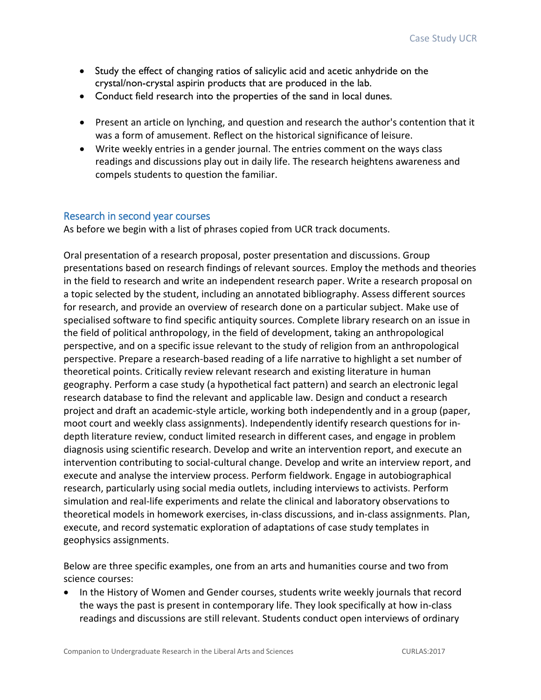- Study the effect of changing ratios of salicylic acid and acetic anhydride on the crystal/non-crystal aspirin products that are produced in the lab.
- Conduct field research into the properties of the sand in local dunes.
- Present an article on lynching, and question and research the author's contention that it was a form of amusement. Reflect on the historical significance of leisure.
- Write weekly entries in a gender journal. The entries comment on the ways class readings and discussions play out in daily life. The research heightens awareness and compels students to question the familiar.

#### Research in second year courses

As before we begin with a list of phrases copied from UCR track documents.

Oral presentation of a research proposal, poster presentation and discussions. Group presentations based on research findings of relevant sources. Employ the methods and theories in the field to research and write an independent research paper. Write a research proposal on a topic selected by the student, including an annotated bibliography. Assess different sources for research, and provide an overview of research done on a particular subject. Make use of specialised software to find specific antiquity sources. Complete library research on an issue in the field of political anthropology, in the field of development, taking an anthropological perspective, and on a specific issue relevant to the study of religion from an anthropological perspective. Prepare a research-based reading of a life narrative to highlight a set number of theoretical points. Critically review relevant research and existing literature in human geography. Perform a case study (a hypothetical fact pattern) and search an electronic legal research database to find the relevant and applicable law. Design and conduct a research project and draft an academic-style article, working both independently and in a group (paper, moot court and weekly class assignments). Independently identify research questions for indepth literature review, conduct limited research in different cases, and engage in problem diagnosis using scientific research. Develop and write an intervention report, and execute an intervention contributing to social-cultural change. Develop and write an interview report, and execute and analyse the interview process. Perform fieldwork. Engage in autobiographical research, particularly using social media outlets, including interviews to activists. Perform simulation and real-life experiments and relate the clinical and laboratory observations to theoretical models in homework exercises, in-class discussions, and in-class assignments. Plan, execute, and record systematic exploration of adaptations of case study templates in geophysics assignments.

Below are three specific examples, one from an arts and humanities course and two from science courses:

• In the History of Women and Gender courses, students write weekly journals that record the ways the past is present in contemporary life. They look specifically at how in-class readings and discussions are still relevant. Students conduct open interviews of ordinary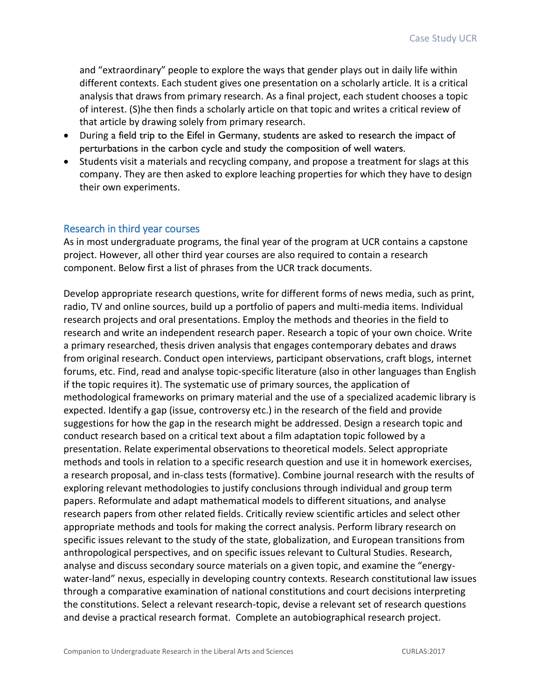and "extraordinary" people to explore the ways that gender plays out in daily life within different contexts. Each student gives one presentation on a scholarly article. It is a critical analysis that draws from primary research. As a final project, each student chooses a topic of interest. (S)he then finds a scholarly article on that topic and writes a critical review of that article by drawing solely from primary research.

- During a field trip to the Eifel in Germany, students are asked to research the impact of perturbations in the carbon cycle and study the composition of well waters.
- Students visit a materials and recycling company, and propose a treatment for slags at this company. They are then asked to explore leaching properties for which they have to design their own experiments.

### Research in third year courses

As in most undergraduate programs, the final year of the program at UCR contains a capstone project. However, all other third year courses are also required to contain a research component. Below first a list of phrases from the UCR track documents.

Develop appropriate research questions, write for different forms of news media, such as print, radio, TV and online sources, build up a portfolio of papers and multi-media items. Individual research projects and oral presentations. Employ the methods and theories in the field to research and write an independent research paper. Research a topic of your own choice. Write a primary researched, thesis driven analysis that engages contemporary debates and draws from original research. Conduct open interviews, participant observations, craft blogs, internet forums, etc. Find, read and analyse topic-specific literature (also in other languages than English if the topic requires it). The systematic use of primary sources, the application of methodological frameworks on primary material and the use of a specialized academic library is expected. Identify a gap (issue, controversy etc.) in the research of the field and provide suggestions for how the gap in the research might be addressed. Design a research topic and conduct research based on a critical text about a film adaptation topic followed by a presentation. Relate experimental observations to theoretical models. Select appropriate methods and tools in relation to a specific research question and use it in homework exercises, a research proposal, and in-class tests (formative). Combine journal research with the results of exploring relevant methodologies to justify conclusions through individual and group term papers. Reformulate and adapt mathematical models to different situations, and analyse research papers from other related fields. Critically review scientific articles and select other appropriate methods and tools for making the correct analysis. Perform library research on specific issues relevant to the study of the state, globalization, and European transitions from anthropological perspectives, and on specific issues relevant to Cultural Studies. Research, analyse and discuss secondary source materials on a given topic, and examine the "energywater-land" nexus, especially in developing country contexts. Research constitutional law issues through a comparative examination of national constitutions and court decisions interpreting the constitutions. Select a relevant research-topic, devise a relevant set of research questions and devise a practical research format. Complete an autobiographical research project.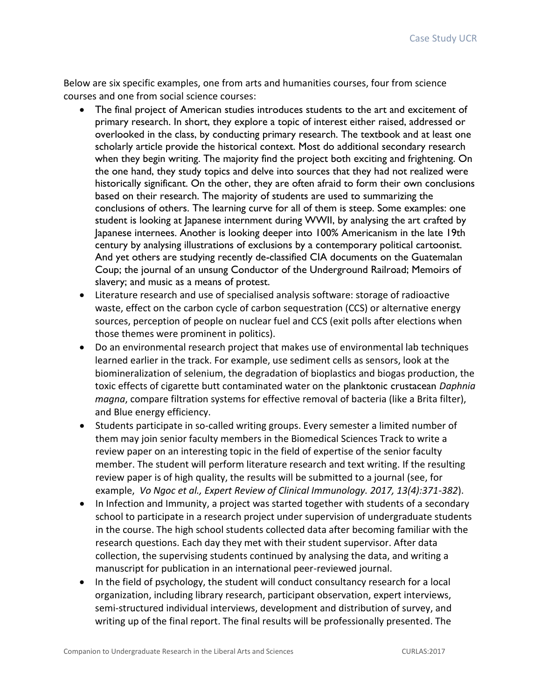Below are six specific examples, one from arts and humanities courses, four from science courses and one from social science courses:

- The final project of American studies introduces students to the art and excitement of primary research. In short, they explore a topic of interest either raised, addressed or overlooked in the class, by conducting primary research. The textbook and at least one scholarly article provide the historical context. Most do additional secondary research when they begin writing. The majority find the project both exciting and frightening. On the one hand, they study topics and delve into sources that they had not realized were historically significant. On the other, they are often afraid to form their own conclusions based on their research. The majority of students are used to summarizing the conclusions of others. The learning curve for all of them is steep. Some examples: one student is looking at Japanese internment during WWII, by analysing the art crafted by Japanese internees. Another is looking deeper into 100% Americanism in the late 19th century by analysing illustrations of exclusions by a contemporary political cartoonist. And yet others are studying recently de-classified CIA documents on the Guatemalan Coup; the journal of an unsung Conductor of the Underground Railroad; Memoirs of slavery; and music as a means of protest.
- Literature research and use of specialised analysis software: storage of radioactive waste, effect on the carbon cycle of carbon sequestration (CCS) or alternative energy sources, perception of people on nuclear fuel and CCS (exit polls after elections when those themes were prominent in politics).
- Do an environmental research project that makes use of environmental lab techniques learned earlier in the track. For example, use sediment cells as sensors, look at the biomineralization of selenium, the degradation of bioplastics and biogas production, the toxic effects of cigarette butt contaminated water on the planktonic crustacean *Daphnia magna*, compare filtration systems for effective removal of bacteria (like a Brita filter), and Blue energy efficiency.
- Students participate in so-called writing groups. Every semester a limited number of them may join senior faculty members in the Biomedical Sciences Track to write a review paper on an interesting topic in the field of expertise of the senior faculty member. The student will perform literature research and text writing. If the resulting review paper is of high quality, the results will be submitted to a journal (see, for example, *Vo Ngoc et al., Expert Review of Clinical Immunology. 2017, 13(4):371-382*).
- In Infection and Immunity, a project was started together with students of a secondary school to participate in a research project under supervision of undergraduate students in the course. The high school students collected data after becoming familiar with the research questions. Each day they met with their student supervisor. After data collection, the supervising students continued by analysing the data, and writing a manuscript for publication in an international peer-reviewed journal.
- In the field of psychology, the student will conduct consultancy research for a local organization, including library research, participant observation, expert interviews, semi-structured individual interviews, development and distribution of survey, and writing up of the final report. The final results will be professionally presented. The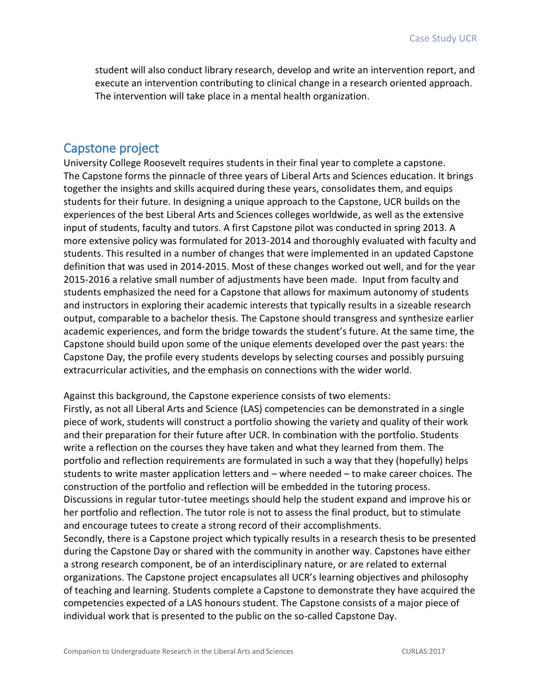student will also conduct library research, develop and write an intervention report, and execute an intervention contributing to clinical change in a research oriented approach. The intervention will take place in a mental health organization.

### Capstone project

University College Roosevelt requires students in their final year to complete a capstone. The Capstone forms the pinnacle of three years of Liberal Arts and Sciences education. It brings together the insights and skills acquired during these years, consolidates them, and equips students for their future. In designing a unique approach to the Capstone, UCR builds on the experiences of the best Liberal Arts and Sciences colleges worldwide, as well as the extensive input of students, faculty and tutors. A first Capstone pilot was conducted in spring 2013. A more extensive policy was formulated for 2013-2014 and thoroughly evaluated with faculty and students. This resulted in a number of changes that were implemented in an updated Capstone definition that was used in 2014-2015. Most of these changes worked out well, and for the year 2015-2016 a relative small number of adjustments have been made. Input from faculty and students emphasized the need for a Capstone that allows for maximum autonomy of students and instructors in exploring their academic interests that typically results in a sizeable research output, comparable to a bachelor thesis. The Capstone should transgress and synthesize earlier academic experiences, and form the bridge towards the student's future. At the same time, the Capstone should build upon some of the unique elements developed over the past years: the Capstone Day, the profile every students develops by selecting courses and possibly pursuing extracurricular activities, and the emphasis on connections with the wider world.

Against this background, the Capstone experience consists of two elements: Firstly, as not all Liberal Arts and Science (LAS) competencies can be demonstrated in a single piece of work, students will construct a portfolio showing the variety and quality of their work and their preparation for their future after UCR. In combination with the portfolio. Students write a reflection on the courses they have taken and what they learned from them. The portfolio and reflection requirements are formulated in such a way that they (hopefully) helps students to write master application letters and – where needed – to make career choices. The construction of the portfolio and reflection will be embedded in the tutoring process. Discussions in regular tutor-tutee meetings should help the student expand and improve his or her portfolio and reflection. The tutor role is not to assess the final product, but to stimulate and encourage tutees to create a strong record of their accomplishments. Secondly, there is a Capstone project which typically results in a research thesis to be presented during the Capstone Day or shared with the community in another way. Capstones have either a strong research component, be of an interdisciplinary nature, or are related to external organizations. The Capstone project encapsulates all UCR's learning objectives and philosophy of teaching and learning. Students complete a Capstone to demonstrate they have acquired the competencies expected of a LAS honours student. The Capstone consists of a major piece of individual work that is presented to the public on the so-called Capstone Day.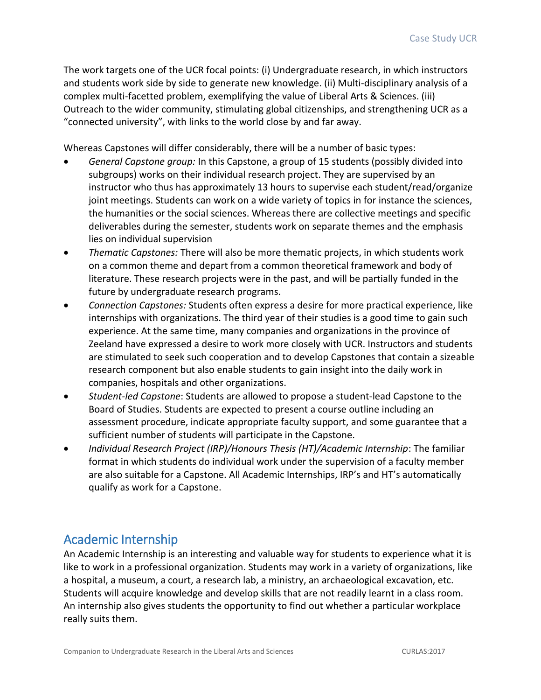The work targets one of the UCR focal points: (i) Undergraduate research, in which instructors and students work side by side to generate new knowledge. (ii) Multi-disciplinary analysis of a complex multi-facetted problem, exemplifying the value of Liberal Arts & Sciences. (iii) Outreach to the wider community, stimulating global citizenships, and strengthening UCR as a "connected university", with links to the world close by and far away.

Whereas Capstones will differ considerably, there will be a number of basic types:

- *General Capstone group:* In this Capstone, a group of 15 students (possibly divided into subgroups) works on their individual research project. They are supervised by an instructor who thus has approximately 13 hours to supervise each student/read/organize joint meetings. Students can work on a wide variety of topics in for instance the sciences, the humanities or the social sciences. Whereas there are collective meetings and specific deliverables during the semester, students work on separate themes and the emphasis lies on individual supervision
- *Thematic Capstones:* There will also be more thematic projects, in which students work on a common theme and depart from a common theoretical framework and body of literature. These research projects were in the past, and will be partially funded in the future by undergraduate research programs.
- *Connection Capstones:* Students often express a desire for more practical experience, like internships with organizations. The third year of their studies is a good time to gain such experience. At the same time, many companies and organizations in the province of Zeeland have expressed a desire to work more closely with UCR. Instructors and students are stimulated to seek such cooperation and to develop Capstones that contain a sizeable research component but also enable students to gain insight into the daily work in companies, hospitals and other organizations.
- *Student-led Capstone*: Students are allowed to propose a student-lead Capstone to the Board of Studies. Students are expected to present a course outline including an assessment procedure, indicate appropriate faculty support, and some guarantee that a sufficient number of students will participate in the Capstone.
- *Individual Research Project (IRP)/Honours Thesis (HT)/Academic Internship*: The familiar format in which students do individual work under the supervision of a faculty member are also suitable for a Capstone. All Academic Internships, IRP's and HT's automatically qualify as work for a Capstone.

### Academic Internship

An Academic Internship is an interesting and valuable way for students to experience what it is like to work in a professional organization. Students may work in a variety of organizations, like a hospital, a museum, a court, a research lab, a ministry, an archaeological excavation, etc. Students will acquire knowledge and develop skills that are not readily learnt in a class room. An internship also gives students the opportunity to find out whether a particular workplace really suits them.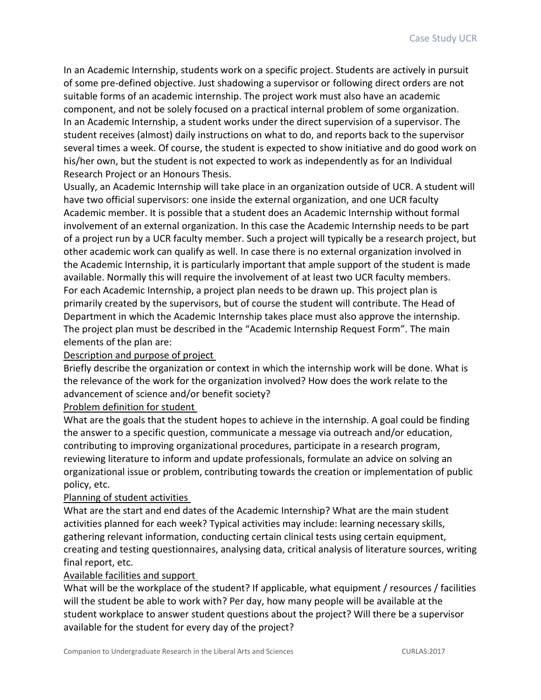In an Academic Internship, students work on a specific project. Students are actively in pursuit of some pre-defined objective. Just shadowing a supervisor or following direct orders are not suitable forms of an academic internship. The project work must also have an academic component, and not be solely focused on a practical internal problem of some organization. In an Academic Internship, a student works under the direct supervision of a supervisor. The student receives (almost) daily instructions on what to do, and reports back to the supervisor several times a week. Of course, the student is expected to show initiative and do good work on his/her own, but the student is not expected to work as independently as for an Individual Research Project or an Honours Thesis.

Usually, an Academic Internship will take place in an organization outside of UCR. A student will have two official supervisors: one inside the external organization, and one UCR faculty Academic member. It is possible that a student does an Academic Internship without formal involvement of an external organization. In this case the Academic Internship needs to be part of a project run by a UCR faculty member. Such a project will typically be a research project, but other academic work can qualify as well. In case there is no external organization involved in the Academic Internship, it is particularly important that ample support of the student is made available. Normally this will require the involvement of at least two UCR faculty members. For each Academic Internship, a project plan needs to be drawn up. This project plan is primarily created by the supervisors, but of course the student will contribute. The Head of Department in which the Academic Internship takes place must also approve the internship. The project plan must be described in the "Academic Internship Request Form". The main elements of the plan are:

#### Description and purpose of project

Briefly describe the organization or context in which the internship work will be done. What is the relevance of the work for the organization involved? How does the work relate to the advancement of science and/or benefit society?

#### Problem definition for student

What are the goals that the student hopes to achieve in the internship. A goal could be finding the answer to a specific question, communicate a message via outreach and/or education, contributing to improving organizational procedures, participate in a research program, reviewing literature to inform and update professionals, formulate an advice on solving an organizational issue or problem, contributing towards the creation or implementation of public policy, etc.

#### Planning of student activities

What are the start and end dates of the Academic Internship? What are the main student activities planned for each week? Typical activities may include: learning necessary skills, gathering relevant information, conducting certain clinical tests using certain equipment, creating and testing questionnaires, analysing data, critical analysis of literature sources, writing final report, etc.

#### Available facilities and support

What will be the workplace of the student? If applicable, what equipment / resources / facilities will the student be able to work with? Per day, how many people will be available at the student workplace to answer student questions about the project? Will there be a supervisor available for the student for every day of the project?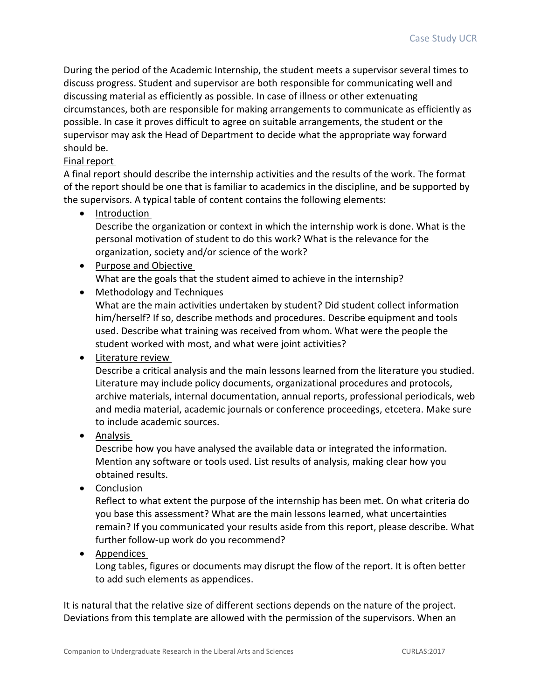During the period of the Academic Internship, the student meets a supervisor several times to discuss progress. Student and supervisor are both responsible for communicating well and discussing material as efficiently as possible. In case of illness or other extenuating circumstances, both are responsible for making arrangements to communicate as efficiently as possible. In case it proves difficult to agree on suitable arrangements, the student or the supervisor may ask the Head of Department to decide what the appropriate way forward should be.

### Final report

A final report should describe the internship activities and the results of the work. The format of the report should be one that is familiar to academics in the discipline, and be supported by the supervisors. A typical table of content contains the following elements:

• Introduction

Describe the organization or context in which the internship work is done. What is the personal motivation of student to do this work? What is the relevance for the organization, society and/or science of the work?

- Purpose and Objective What are the goals that the student aimed to achieve in the internship?
- Methodology and Techniques

What are the main activities undertaken by student? Did student collect information him/herself? If so, describe methods and procedures. Describe equipment and tools used. Describe what training was received from whom. What were the people the student worked with most, and what were joint activities?

### • Literature review

Describe a critical analysis and the main lessons learned from the literature you studied. Literature may include policy documents, organizational procedures and protocols, archive materials, internal documentation, annual reports, professional periodicals, web and media material, academic journals or conference proceedings, etcetera. Make sure to include academic sources.

• Analysis

Describe how you have analysed the available data or integrated the information. Mention any software or tools used. List results of analysis, making clear how you obtained results.

• Conclusion

Reflect to what extent the purpose of the internship has been met. On what criteria do you base this assessment? What are the main lessons learned, what uncertainties remain? If you communicated your results aside from this report, please describe. What further follow-up work do you recommend?

• Appendices

Long tables, figures or documents may disrupt the flow of the report. It is often better to add such elements as appendices.

It is natural that the relative size of different sections depends on the nature of the project. Deviations from this template are allowed with the permission of the supervisors. When an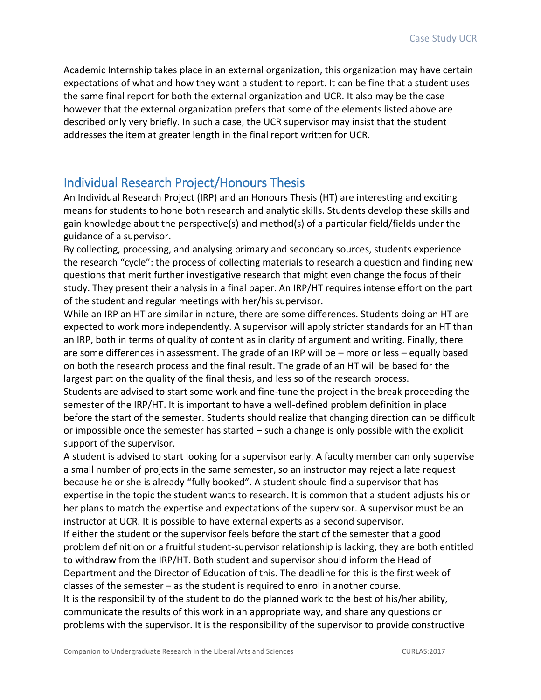Academic Internship takes place in an external organization, this organization may have certain expectations of what and how they want a student to report. It can be fine that a student uses the same final report for both the external organization and UCR. It also may be the case however that the external organization prefers that some of the elements listed above are described only very briefly. In such a case, the UCR supervisor may insist that the student addresses the item at greater length in the final report written for UCR.

### Individual Research Project/Honours Thesis

An Individual Research Project (IRP) and an Honours Thesis (HT) are interesting and exciting means for students to hone both research and analytic skills. Students develop these skills and gain knowledge about the perspective(s) and method(s) of a particular field/fields under the guidance of a supervisor.

By collecting, processing, and analysing primary and secondary sources, students experience the research "cycle": the process of collecting materials to research a question and finding new questions that merit further investigative research that might even change the focus of their study. They present their analysis in a final paper. An IRP/HT requires intense effort on the part of the student and regular meetings with her/his supervisor.

While an IRP an HT are similar in nature, there are some differences. Students doing an HT are expected to work more independently. A supervisor will apply stricter standards for an HT than an IRP, both in terms of quality of content as in clarity of argument and writing. Finally, there are some differences in assessment. The grade of an IRP will be – more or less – equally based on both the research process and the final result. The grade of an HT will be based for the largest part on the quality of the final thesis, and less so of the research process.

Students are advised to start some work and fine-tune the project in the break proceeding the semester of the IRP/HT. It is important to have a well-defined problem definition in place before the start of the semester. Students should realize that changing direction can be difficult or impossible once the semester has started – such a change is only possible with the explicit support of the supervisor.

A student is advised to start looking for a supervisor early. A faculty member can only supervise a small number of projects in the same semester, so an instructor may reject a late request because he or she is already "fully booked". A student should find a supervisor that has expertise in the topic the student wants to research. It is common that a student adjusts his or her plans to match the expertise and expectations of the supervisor. A supervisor must be an instructor at UCR. It is possible to have external experts as a second supervisor.

If either the student or the supervisor feels before the start of the semester that a good problem definition or a fruitful student-supervisor relationship is lacking, they are both entitled to withdraw from the IRP/HT. Both student and supervisor should inform the Head of Department and the Director of Education of this. The deadline for this is the first week of classes of the semester – as the student is required to enrol in another course.

It is the responsibility of the student to do the planned work to the best of his/her ability, communicate the results of this work in an appropriate way, and share any questions or problems with the supervisor. It is the responsibility of the supervisor to provide constructive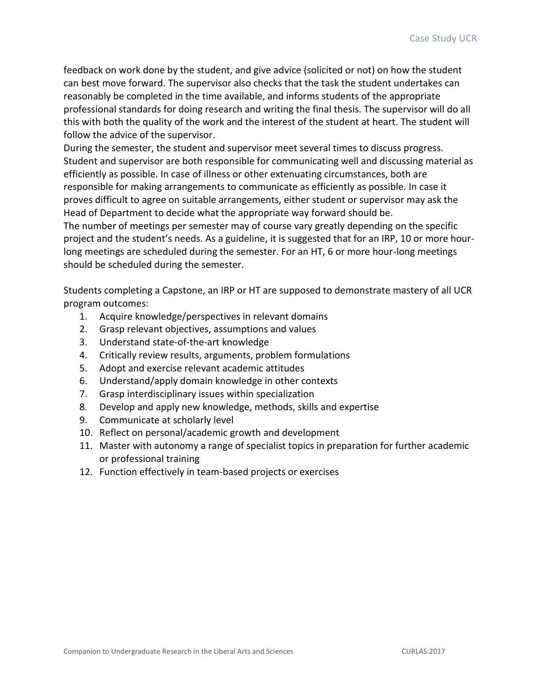feedback on work done by the student, and give advice (solicited or not) on how the student can best move forward. The supervisor also checks that the task the student undertakes can reasonably be completed in the time available, and informs students of the appropriate professional standards for doing research and writing the final thesis. The supervisor will do all this with both the quality of the work and the interest of the student at heart. The student will follow the advice of the supervisor.

During the semester, the student and supervisor meet several times to discuss progress. Student and supervisor are both responsible for communicating well and discussing material as efficiently as possible. In case of illness or other extenuating circumstances, both are responsible for making arrangements to communicate as efficiently as possible. In case it proves difficult to agree on suitable arrangements, either student or supervisor may ask the Head of Department to decide what the appropriate way forward should be.

The number of meetings per semester may of course vary greatly depending on the specific project and the student's needs. As a guideline, it is suggested that for an IRP, 10 or more hourlong meetings are scheduled during the semester. For an HT, 6 or more hour-long meetings should be scheduled during the semester.

Students completing a Capstone, an IRP or HT are supposed to demonstrate mastery of all UCR program outcomes:

- 1. Acquire knowledge/perspectives in relevant domains
- 2. Grasp relevant objectives, assumptions and values
- 3. Understand state-of-the-art knowledge
- 4. Critically review results, arguments, problem formulations
- 5. Adopt and exercise relevant academic attitudes
- 6. Understand/apply domain knowledge in other contexts
- 7. Grasp interdisciplinary issues within specialization
- 8. Develop and apply new knowledge, methods, skills and expertise
- 9. Communicate at scholarly level
- 10. Reflect on personal/academic growth and development
- 11. Master with autonomy a range of specialist topics in preparation for further academic or professional training
- 12. Function effectively in team-based projects or exercises